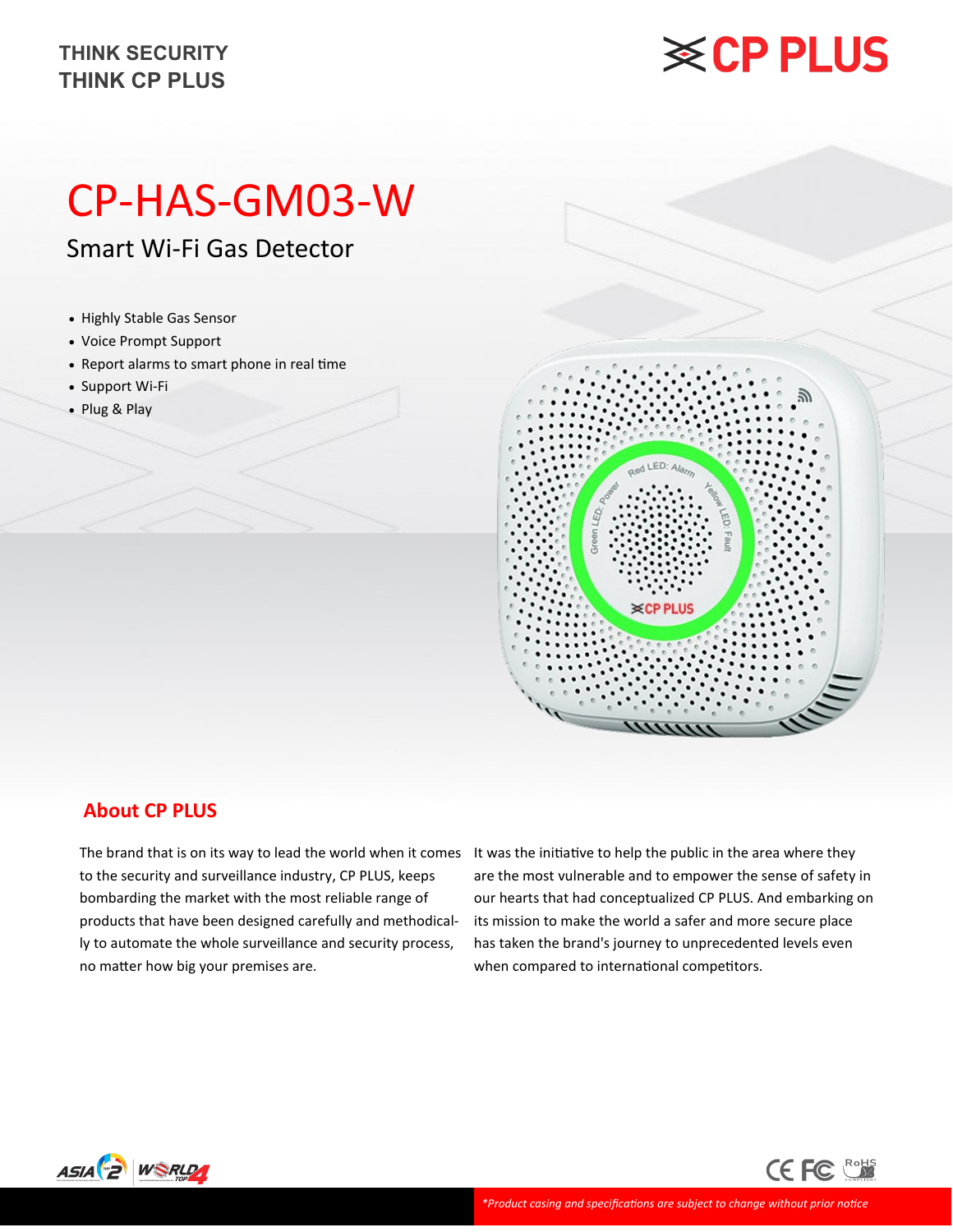#### **THINK CP PLUS THINK SECURITY**

## **※CP PLUS**

### CP-HAS-GM03-W

Smart Wi-Fi Gas Detector

- Highly Stable Gas Sensor
- Voice Prompt Support
- Report alarms to smart phone in real time
- Support Wi-Fi
- Plug & Play



#### **About CP PLUS**

to the security and surveillance industry, CP PLUS, keeps bombarding the market with the most reliable range of products that have been designed carefully and methodically to automate the whole surveillance and security process, no matter how big your premises are.

The brand that is on its way to lead the world when it comes It was the initiative to help the public in the area where they are the most vulnerable and to empower the sense of safety in our hearts that had conceptualized CP PLUS. And embarking on its mission to make the world a safer and more secure place has taken the brand's journey to unprecedented levels even when compared to international competitors.